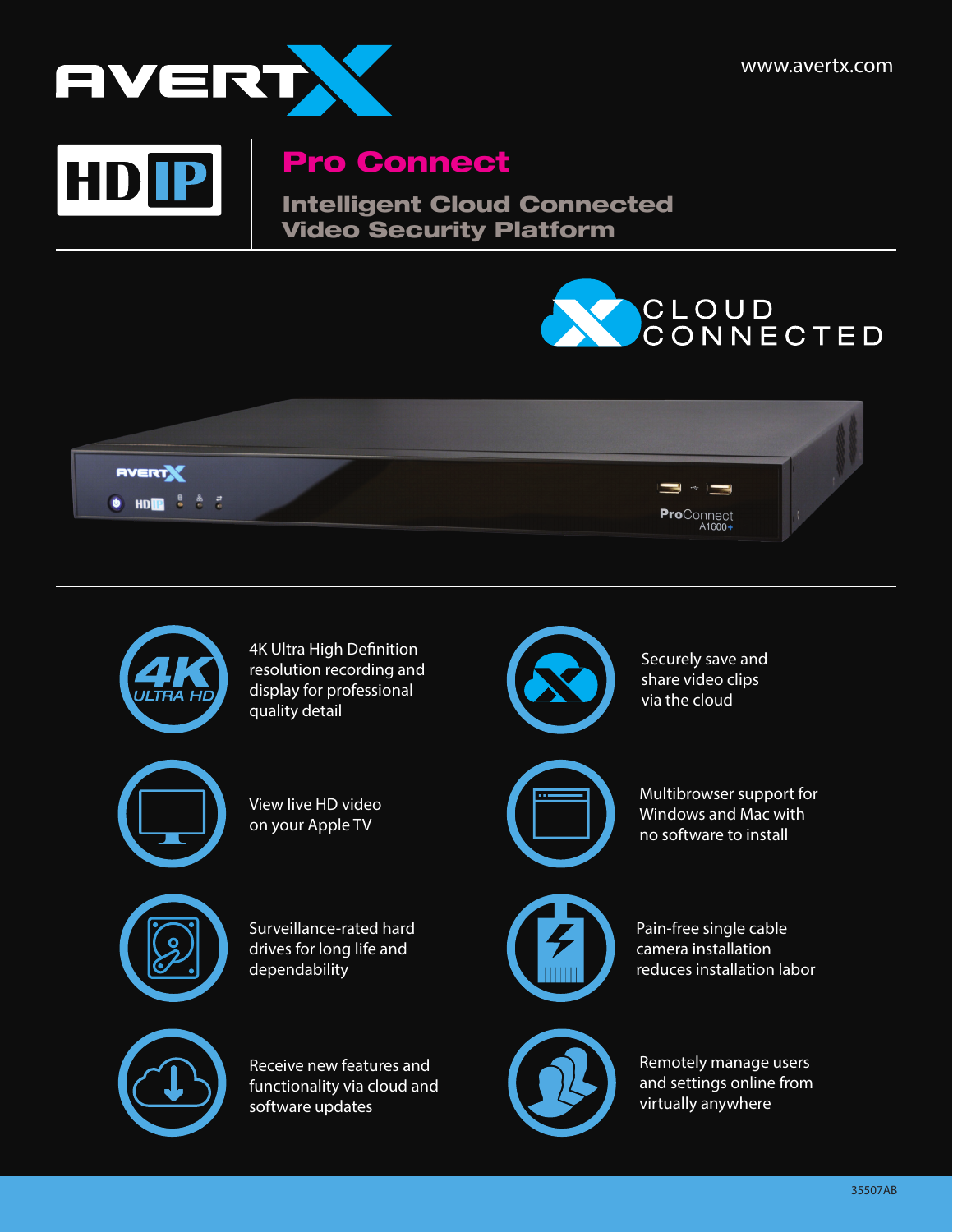

HDP

## Pro Connect

Intelligent Cloud Connected Video Security Platform





display for professional quality detail



View live HD video on your Apple TV



Surveillance-rated hard drives for long life and dependability



Receive new features and functionality via cloud and software updates



via the cloud



Multibrowser support for Windows and Mac with no software to install



Pain-free single cable camera installation reduces installation labor



Remotely manage users and settings online from virtually anywhere